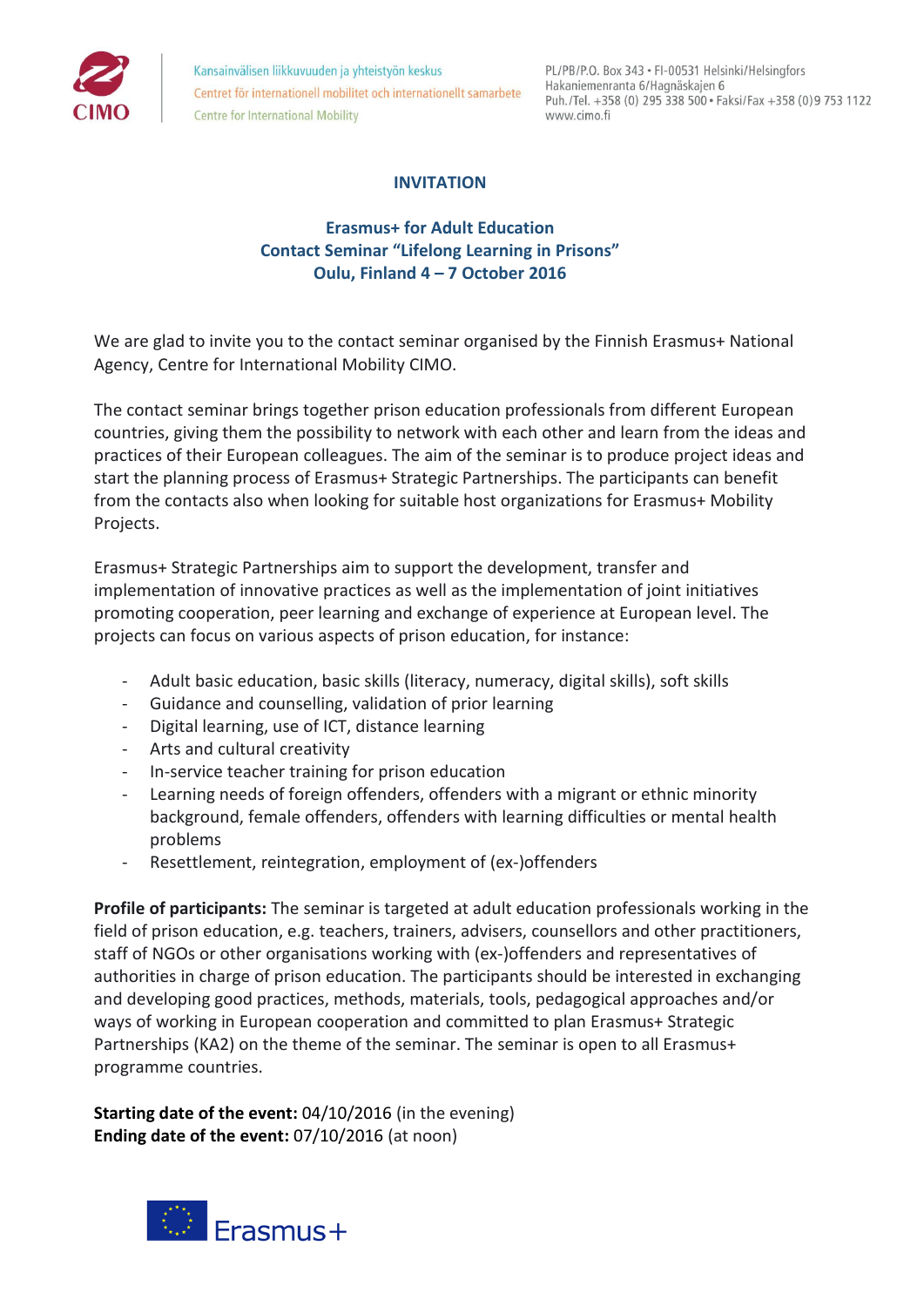

Kansainvälisen liikkuvuuden ja yhteistyön keskus Centret för internationell mobilitet och internationellt samarbete **Centre for International Mobility** 

PL/PB/P.O. Box 343 · FI-00531 Helsinki/Helsingfors Hakaniemenranta 6/Hagnäskajen 6 Puh./Tel. +358 (0) 295 338 500 · Faksi/Fax +358 (0) 9 753 1122 www.cimo.fi

# **INVITATION**

# **Erasmus+ for Adult Education Contact Seminar "Lifelong Learning in Prisons" Oulu, Finland 4 – 7 October 2016**

We are glad to invite you to the contact seminar organised by the Finnish Erasmus+ National Agency, Centre for International Mobility CIMO.

The contact seminar brings together prison education professionals from different European countries, giving them the possibility to network with each other and learn from the ideas and practices of their European colleagues. The aim of the seminar is to produce project ideas and start the planning process of Erasmus+ Strategic Partnerships. The participants can benefit from the contacts also when looking for suitable host organizations for Erasmus+ Mobility Projects.

Erasmus+ Strategic Partnerships aim to support the development, transfer and implementation of innovative practices as well as the implementation of joint initiatives promoting cooperation, peer learning and exchange of experience at European level. The projects can focus on various aspects of prison education, for instance:

- Adult basic education, basic skills (literacy, numeracy, digital skills), soft skills
- Guidance and counselling, validation of prior learning
- Digital learning, use of ICT, distance learning
- Arts and cultural creativity
- In-service teacher training for prison education
- Learning needs of foreign offenders, offenders with a migrant or ethnic minority background, female offenders, offenders with learning difficulties or mental health problems
- Resettlement, reintegration, employment of (ex-)offenders

**Profile of participants:** The seminar is targeted at adult education professionals working in the field of prison education, e.g. teachers, trainers, advisers, counsellors and other practitioners, staff of NGOs or other organisations working with (ex-)offenders and representatives of authorities in charge of prison education. The participants should be interested in exchanging and developing good practices, methods, materials, tools, pedagogical approaches and/or ways of working in European cooperation and committed to plan Erasmus+ Strategic Partnerships (KA2) on the theme of the seminar. The seminar is open to all Erasmus+ programme countries.

**Starting date of the event: 04/10/2016** (in the evening) **Ending date of the event:** 07/10/2016 (at noon)